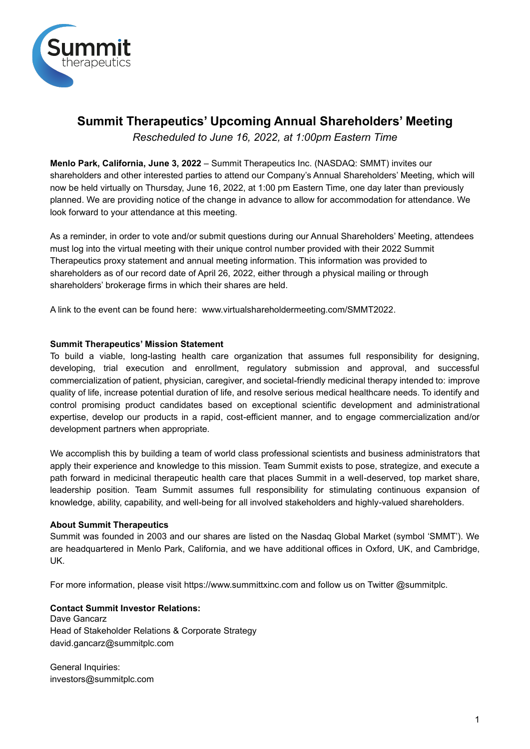

# **Summit Therapeutics' Upcoming Annual Shareholders' Meeting**

*Rescheduled to June 16, 2022, at 1:00pm Eastern Time*

**Menlo Park, California, June 3, 2022** – Summit Therapeutics Inc. (NASDAQ: SMMT) invites our shareholders and other interested parties to attend our Company's Annual Shareholders' Meeting, which will now be held virtually on Thursday, June 16, 2022, at 1:00 pm Eastern Time, one day later than previously planned. We are providing notice of the change in advance to allow for accommodation for attendance. We look forward to your attendance at this meeting.

As a reminder, in order to vote and/or submit questions during our Annual Shareholders' Meeting, attendees must log into the virtual meeting with their unique control number provided with their 2022 Summit Therapeutics proxy statement and annual meeting information. This information was provided to shareholders as of our record date of April 26, 2022, either through a physical mailing or through shareholders' brokerage firms in which their shares are held.

A link to the event can be found here: www.virtualshareholdermeeting.com/SMMT2022.

## **Summit Therapeutics' Mission Statement**

To build a viable, long-lasting health care organization that assumes full responsibility for designing, developing, trial execution and enrollment, regulatory submission and approval, and successful commercialization of patient, physician, caregiver, and societal-friendly medicinal therapy intended to: improve quality of life, increase potential duration of life, and resolve serious medical healthcare needs. To identify and control promising product candidates based on exceptional scientific development and administrational expertise, develop our products in a rapid, cost-efficient manner, and to engage commercialization and/or development partners when appropriate.

We accomplish this by building a team of world class professional scientists and business administrators that apply their experience and knowledge to this mission. Team Summit exists to pose, strategize, and execute a path forward in medicinal therapeutic health care that places Summit in a well-deserved, top market share, leadership position. Team Summit assumes full responsibility for stimulating continuous expansion of knowledge, ability, capability, and well-being for all involved stakeholders and highly-valued shareholders.

# **About Summit Therapeutics**

Summit was founded in 2003 and our shares are listed on the Nasdaq Global Market (symbol 'SMMT'). We are headquartered in Menlo Park, California, and we have additional offices in Oxford, UK, and Cambridge, UK.

For more information, please visit https://www.summittxinc.com and follow us on Twitter @summitplc.

### **Contact Summit Investor Relations:**

Dave Gancarz Head of Stakeholder Relations & Corporate Strategy david.gancarz@summitplc.com

General Inquiries: investors@summitplc.com